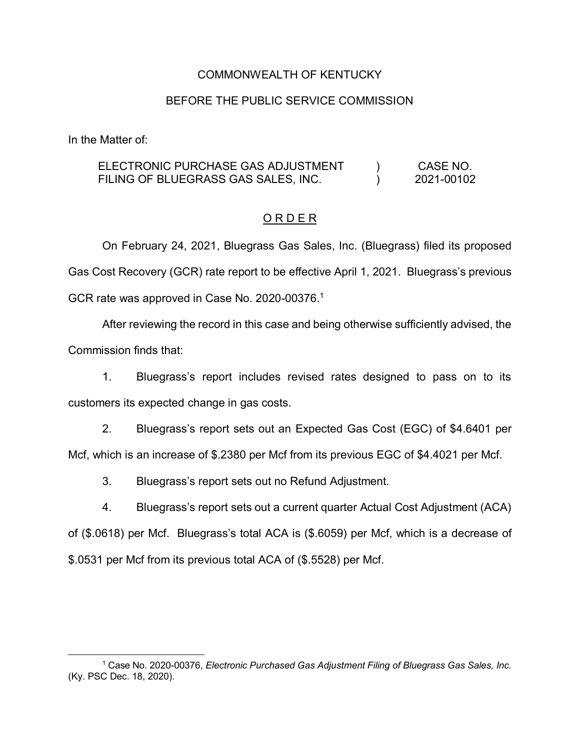### COMMONWEALTH OF KENTUCKY

## BEFORE THE PUBLIC SERVICE COMMISSION

In the Matter of:

#### ELECTRONIC PURCHASE GAS ADJUSTMENT FILING OF BLUEGRASS GAS SALES, INC.  $\overline{)}$  $\mathcal{L}$ CASE NO. 2021-00102

# O R D E R

On February 24, 2021, Bluegrass Gas Sales, Inc. (Bluegrass) filed its proposed Gas Cost Recovery (GCR) rate report to be effective April 1, 2021. Bluegrass's previous GCR rate was approved in Case No. 2020-00376.<sup>1</sup>

After reviewing the record in this case and being otherwise sufficiently advised, the Commission finds that:

1. Bluegrass's report includes revised rates designed to pass on to its customers its expected change in gas costs.

2. Bluegrass's report sets out an Expected Gas Cost (EGC) of \$4.6401 per Mcf, which is an increase of \$.2380 per Mcf from its previous EGC of \$4.4021 per Mcf.

3. Bluegrass's report sets out no Refund Adjustment.

4. Bluegrass's report sets out a current quarter Actual Cost Adjustment (ACA) of (\$.0618) per Mcf. Bluegrass's total ACA is (\$.6059) per Mcf, which is a decrease of

\$.0531 per Mcf from its previous total ACA of (\$.5528) per Mcf.

 <sup>1</sup> Case No. 2020-00376, *Electronic Purchased Gas Adjustment Filing of Bluegrass Gas Sales, Inc.* (Ky. PSC Dec. 18, 2020).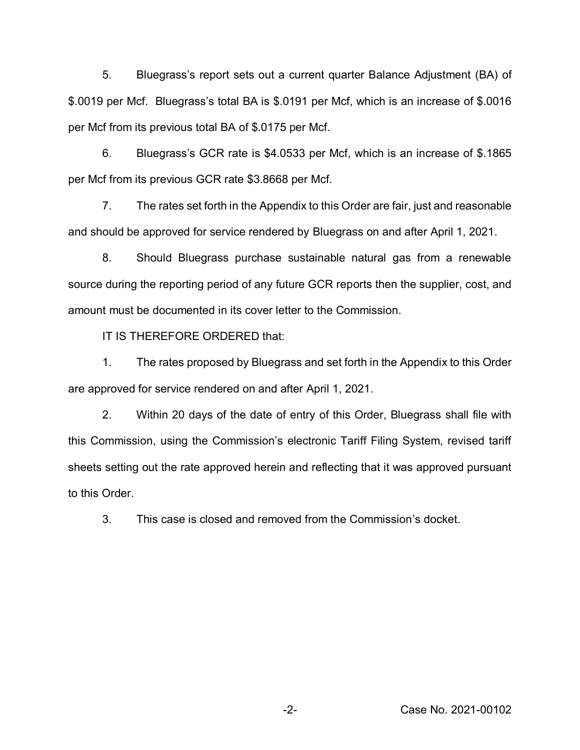5. Bluegrass's report sets out a current quarter Balance Adjustment (BA) of \$.0019 per Mcf. Bluegrass's total BA is \$.0191 per Mcf, which is an increase of \$.0016 per Mcf from its previous total BA of \$.0175 per Mcf.

6. Bluegrass's GCR rate is \$4.0533 per Mcf, which is an increase of \$.1865 per Mcf from its previous GCR rate \$3.8668 per Mcf.

7. The rates set forth in the Appendix to this Order are fair, just and reasonable and should be approved for service rendered by Bluegrass on and after April 1, 2021.

8. Should Bluegrass purchase sustainable natural gas from a renewable source during the reporting period of any future GCR reports then the supplier, cost, and amount must be documented in its cover letter to the Commission.

IT IS THEREFORE ORDERED that:

1. The rates proposed by Bluegrass and set forth in the Appendix to this Order are approved for service rendered on and after April 1, 2021.

2. Within 20 days of the date of entry of this Order, Bluegrass shall file with this Commission, using the Commission's electronic Tariff Filing System, revised tariff sheets setting out the rate approved herein and reflecting that it was approved pursuant to this Order.

3. This case is closed and removed from the Commission's docket.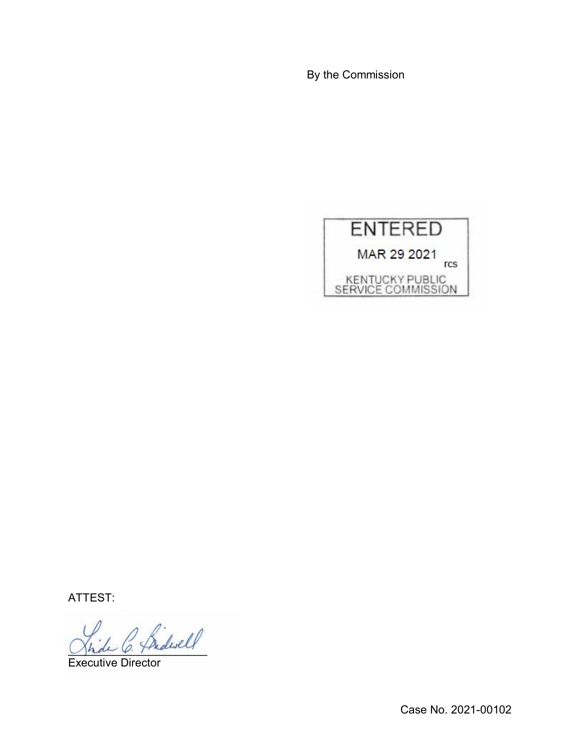By the Commission



ATTEST:

 $\beta$  fridwell

Executive Director

Case No. 2021-00102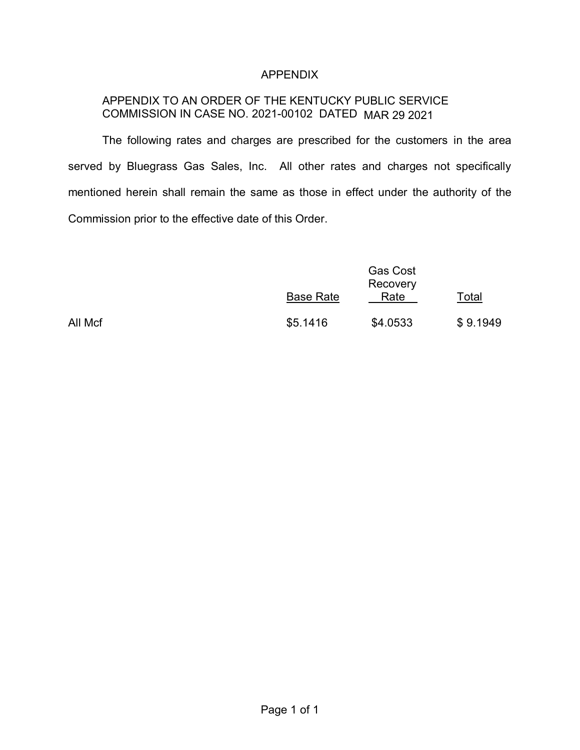### APPENDIX

# APPENDIX TO AN ORDER OF THE KENTUCKY PUBLIC SERVICE COMMISSION IN CASE NO. 2021-00102 DATED MAR 29 2021

The following rates and charges are prescribed for the customers in the area served by Bluegrass Gas Sales, Inc. All other rates and charges not specifically mentioned herein shall remain the same as those in effect under the authority of the Commission prior to the effective date of this Order.

|         | <b>Base Rate</b> | <b>Gas Cost</b><br>Recovery<br>Rate | Total    |
|---------|------------------|-------------------------------------|----------|
| All Mcf | \$5.1416         | \$4.0533                            | \$9.1949 |

Page 1 of 1